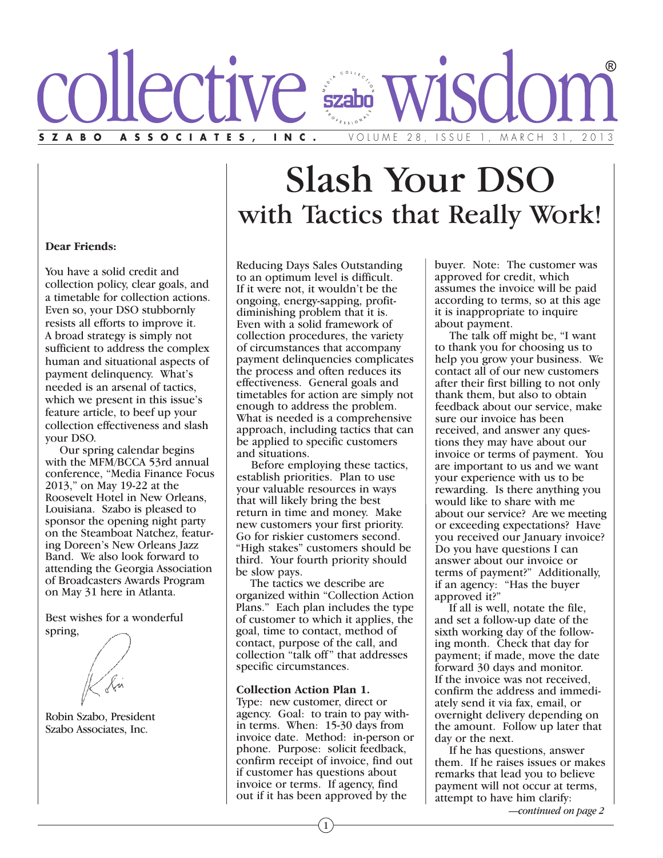

# Slash Your DSO with Tactics that Really Work!

# **Dear Friends:**

You have a solid credit and collection policy, clear goals, and a timetable for collection actions. Even so, your DSO stubbornly resists all efforts to improve it. A broad strategy is simply not sufficient to address the complex human and situational aspects of payment delinquency. What's needed is an arsenal of tactics, which we present in this issue's feature article, to beef up your collection effectiveness and slash your DSO.

Our spring calendar begins with the MFM/BCCA 53rd annual conference, "Media Finance Focus 2013," on May 19-22 at the Roosevelt Hotel in New Orleans, Louisiana. Szabo is pleased to sponsor the opening night party on the Steamboat Natchez, featuring Doreen's New Orleans Jazz Band. We also look forward to attending the Georgia Association of Broadcasters Awards Program on May 31 here in Atlanta.

Best wishes for a wonderful spring,

Robin Szabo, President Szabo Associates, Inc.

Reducing Days Sales Outstanding to an optimum level is difficult. If it were not, it wouldn't be the ongoing, energy-sapping, profitdiminishing problem that it is. Even with a solid framework of collection procedures, the variety of circumstances that accompany payment delinquencies complicates the process and often reduces its effectiveness. General goals and timetables for action are simply not enough to address the problem. What is needed is a comprehensive approach, including tactics that can be applied to specific customers and situations.

Before employing these tactics, establish priorities. Plan to use your valuable resources in ways that will likely bring the best return in time and money. Make new customers your first priority. Go for riskier customers second. "High stakes" customers should be third. Your fourth priority should be slow pays.

The tactics we describe are organized within "Collection Action Plans." Each plan includes the type of customer to which it applies, the goal, time to contact, method of contact, purpose of the call, and collection "talk off" that addresses specific circumstances.

#### **Collection Action Plan 1.**

Type: new customer, direct or agency. Goal: to train to pay within terms. When: 15-30 days from invoice date. Method: in-person or phone. Purpose: solicit feedback, confirm receipt of invoice, find out if customer has questions about invoice or terms. If agency, find out if it has been approved by the

buyer. Note: The customer was approved for credit, which assumes the invoice will be paid according to terms, so at this age it is inappropriate to inquire about payment.

The talk off might be, "I want to thank you for choosing us to help you grow your business. We contact all of our new customers after their first billing to not only thank them, but also to obtain feedback about our service, make sure our invoice has been received, and answer any questions they may have about our invoice or terms of payment. You are important to us and we want your experience with us to be rewarding. Is there anything you would like to share with me about our service? Are we meeting or exceeding expectations? Have you received our January invoice? Do you have questions I can answer about our invoice or terms of payment?" Additionally, if an agency: "Has the buyer approved it?"

If all is well, notate the file, and set a follow-up date of the sixth working day of the following month. Check that day for payment; if made, move the date forward 30 days and monitor. If the invoice was not received, confirm the address and immediately send it via fax, email, or overnight delivery depending on the amount. Follow up later that day or the next.

If he has questions, answer them. If he raises issues or makes remarks that lead you to believe payment will not occur at terms, attempt to have him clarify:

*—continued on page 2*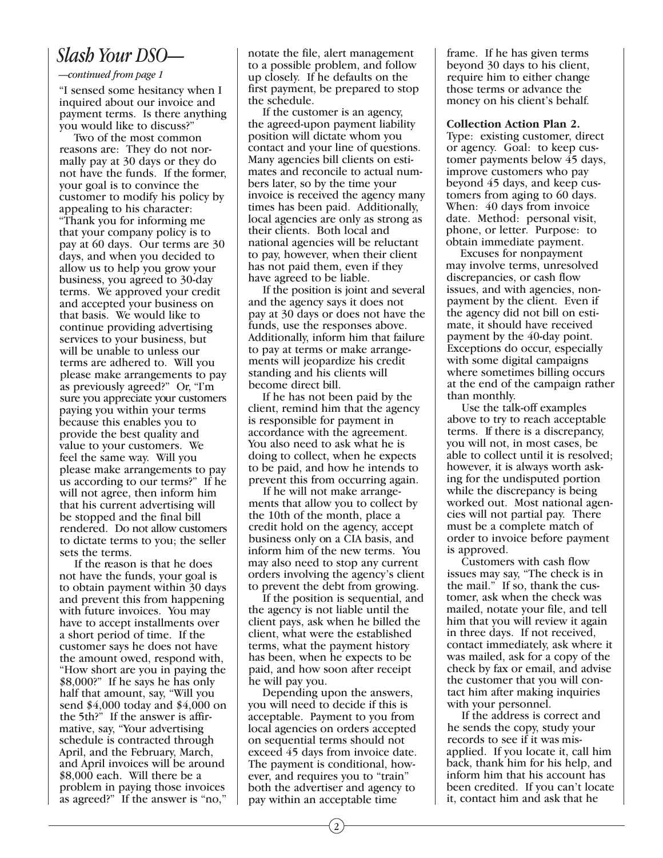# *Slash Your DSO—*

### *—continued from page 1*

"I sensed some hesitancy when I inquired about our invoice and payment terms. Is there anything you would like to discuss?"

Two of the most common reasons are: They do not normally pay at 30 days or they do not have the funds. If the former, your goal is to convince the customer to modify his policy by appealing to his character: "Thank you for informing me that your company policy is to pay at 60 days. Our terms are 30 days, and when you decided to allow us to help you grow your business, you agreed to 30-day terms. We approved your credit and accepted your business on that basis. We would like to continue providing advertising services to your business, but will be unable to unless our terms are adhered to. Will you please make arrangements to pay as previously agreed?" Or, "I'm sure you appreciate your customers paying you within your terms because this enables you to provide the best quality and value to your customers. We feel the same way. Will you please make arrangements to pay us according to our terms?" If he will not agree, then inform him that his current advertising will be stopped and the final bill rendered. Do not allow customers to dictate terms to you; the seller sets the terms.

If the reason is that he does not have the funds, your goal is to obtain payment within 30 days and prevent this from happening with future invoices. You may have to accept installments over a short period of time. If the customer says he does not have the amount owed, respond with, "How short are you in paying the \$8,000?" If he says he has only half that amount, say, "Will you send \$4,000 today and \$4,000 on the 5th?" If the answer is affirmative, say, "Your advertising schedule is contracted through April, and the February, March, and April invoices will be around \$8,000 each. Will there be a problem in paying those invoices as agreed?" If the answer is "no,"

notate the file, alert management to a possible problem, and follow up closely. If he defaults on the first payment, be prepared to stop the schedule.

If the customer is an agency, the agreed-upon payment liability position will dictate whom you contact and your line of questions. Many agencies bill clients on estimates and reconcile to actual numbers later, so by the time your invoice is received the agency many times has been paid. Additionally, local agencies are only as strong as their clients. Both local and national agencies will be reluctant to pay, however, when their client has not paid them, even if they have agreed to be liable.

If the position is joint and several and the agency says it does not pay at 30 days or does not have the funds, use the responses above. Additionally, inform him that failure to pay at terms or make arrangements will jeopardize his credit standing and his clients will become direct bill.

If he has not been paid by the client, remind him that the agency is responsible for payment in accordance with the agreement. You also need to ask what he is doing to collect, when he expects to be paid, and how he intends to prevent this from occurring again.

If he will not make arrangements that allow you to collect by the 10th of the month, place a credit hold on the agency, accept business only on a CIA basis, and inform him of the new terms. You may also need to stop any current orders involving the agency's client to prevent the debt from growing.

If the position is sequential, and the agency is not liable until the client pays, ask when he billed the client, what were the established terms, what the payment history has been, when he expects to be paid, and how soon after receipt he will pay you.

Depending upon the answers, you will need to decide if this is acceptable. Payment to you from local agencies on orders accepted on sequential terms should not exceed 45 days from invoice date. The payment is conditional, however, and requires you to "train" both the advertiser and agency to pay within an acceptable time

frame. If he has given terms beyond 30 days to his client, require him to either change those terms or advance the money on his client's behalf.

# **Collection Action Plan 2.**

Type: existing customer, direct or agency. Goal: to keep customer payments below 45 days, improve customers who pay beyond 45 days, and keep customers from aging to 60 days. When: 40 days from invoice date. Method: personal visit, phone, or letter. Purpose: to obtain immediate payment.

Excuses for nonpayment may involve terms, unresolved discrepancies, or cash flow issues, and with agencies, nonpayment by the client. Even if the agency did not bill on estimate, it should have received payment by the 40-day point. Exceptions do occur, especially with some digital campaigns where sometimes billing occurs at the end of the campaign rather than monthly.

Use the talk-off examples above to try to reach acceptable terms. If there is a discrepancy, you will not, in most cases, be able to collect until it is resolved; however, it is always worth asking for the undisputed portion while the discrepancy is being worked out. Most national agencies will not partial pay. There must be a complete match of order to invoice before payment is approved.

Customers with cash flow issues may say, "The check is in the mail." If so, thank the customer, ask when the check was mailed, notate your file, and tell him that you will review it again in three days. If not received, contact immediately, ask where it was mailed, ask for a copy of the check by fax or email, and advise the customer that you will contact him after making inquiries with your personnel.

If the address is correct and he sends the copy, study your records to see if it was misapplied. If you locate it, call him back, thank him for his help, and inform him that his account has been credited. If you can't locate it, contact him and ask that he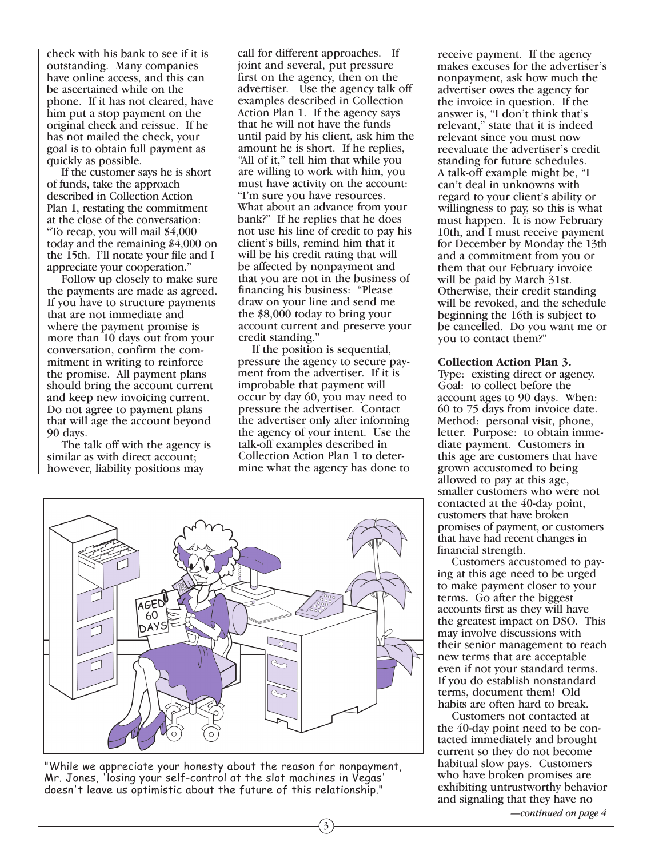check with his bank to see if it is outstanding. Many companies have online access, and this can be ascertained while on the phone. If it has not cleared, have him put a stop payment on the original check and reissue. If he has not mailed the check, your goal is to obtain full payment as quickly as possible.

If the customer says he is short of funds, take the approach described in Collection Action Plan 1, restating the commitment at the close of the conversation: "To recap, you will mail \$4,000 today and the remaining \$4,000 on the 15th. I'll notate your file and I appreciate your cooperation."

Follow up closely to make sure the payments are made as agreed. If you have to structure payments that are not immediate and where the payment promise is more than 10 days out from your conversation, confirm the commitment in writing to reinforce the promise. All payment plans should bring the account current and keep new invoicing current. Do not agree to payment plans that will age the account beyond 90 days.

The talk off with the agency is similar as with direct account; however, liability positions may

call for different approaches. If joint and several, put pressure first on the agency, then on the advertiser. Use the agency talk off examples described in Collection Action Plan 1. If the agency says that he will not have the funds until paid by his client, ask him the amount he is short. If he replies, "All of it," tell him that while you are willing to work with him, you must have activity on the account: "I'm sure you have resources. What about an advance from your bank?" If he replies that he does not use his line of credit to pay his client's bills, remind him that it will be his credit rating that will be affected by nonpayment and that you are not in the business of financing his business: "Please draw on your line and send me the \$8,000 today to bring your account current and preserve your credit standing."

If the position is sequential, pressure the agency to secure payment from the advertiser. If it is improbable that payment will occur by day 60, you may need to pressure the advertiser. Contact the advertiser only after informing the agency of your intent. Use the talk-off examples described in Collection Action Plan 1 to determine what the agency has done to



"While we appreciate your honesty about the reason for nonpayment, Mr. Jones, 'losing your self-control at the slot machines in Vegas' doesn't leave us optimistic about the future of this relationship."

receive payment. If the agency makes excuses for the advertiser's nonpayment, ask how much the advertiser owes the agency for the invoice in question. If the answer is, "I don't think that's relevant," state that it is indeed relevant since you must now reevaluate the advertiser's credit standing for future schedules. A talk-off example might be, "I can't deal in unknowns with regard to your client's ability or willingness to pay, so this is what must happen. It is now February 10th, and I must receive payment for December by Monday the 13th and a commitment from you or them that our February invoice will be paid by March 31st. Otherwise, their credit standing will be revoked, and the schedule beginning the 16th is subject to be cancelled. Do you want me or you to contact them?"

#### **Collection Action Plan 3.**

Type: existing direct or agency. Goal: to collect before the account ages to 90 days. When: 60 to 75 days from invoice date. Method: personal visit, phone, letter. Purpose: to obtain immediate payment. Customers in this age are customers that have grown accustomed to being allowed to pay at this age, smaller customers who were not contacted at the 40-day point, customers that have broken promises of payment, or customers that have had recent changes in financial strength.

Customers accustomed to paying at this age need to be urged to make payment closer to your terms. Go after the biggest accounts first as they will have the greatest impact on DSO. This may involve discussions with their senior management to reach new terms that are acceptable even if not your standard terms. If you do establish nonstandard terms, document them! Old habits are often hard to break.

Customers not contacted at the 40-day point need to be contacted immediately and brought current so they do not become habitual slow pays. Customers who have broken promises are exhibiting untrustworthy behavior and signaling that they have no

*—continued on page 4*